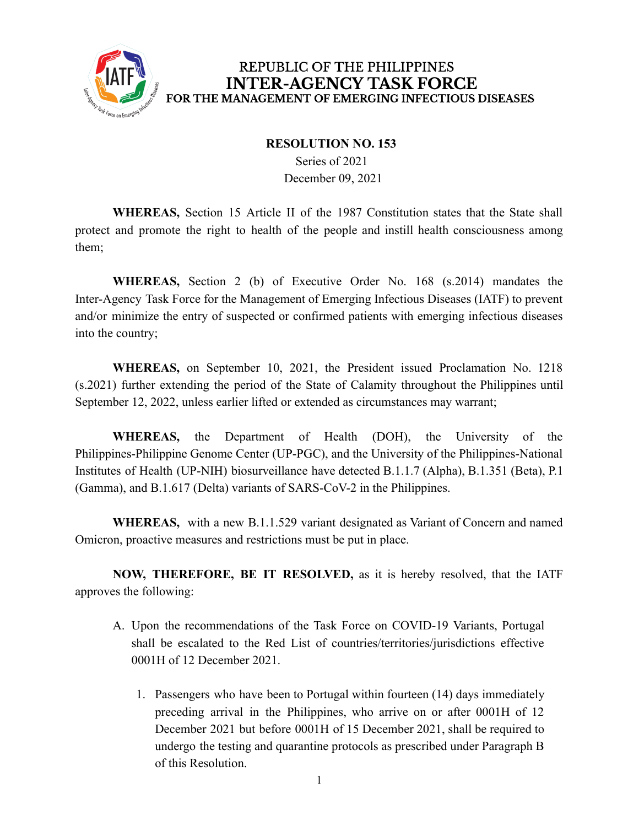

## REPUBLIC OF THE PHILIPPINES **INTER-AGENCY TASK FORCE** FOR THE MANAGEMENT OF EMERGING INFECTIOUS DISEASES

## **RESOLUTION NO. 153**

Series of 2021 December 09, 2021

**WHEREAS,** Section 15 Article II of the 1987 Constitution states that the State shall protect and promote the right to health of the people and instill health consciousness among them;

**WHEREAS,** Section 2 (b) of Executive Order No. 168 (s.2014) mandates the Inter-Agency Task Force for the Management of Emerging Infectious Diseases (IATF) to prevent and/or minimize the entry of suspected or confirmed patients with emerging infectious diseases into the country;

**WHEREAS,** on September 10, 2021, the President issued Proclamation No. 1218 (s.2021) further extending the period of the State of Calamity throughout the Philippines until September 12, 2022, unless earlier lifted or extended as circumstances may warrant;

**WHEREAS,** the Department of Health (DOH), the University of the Philippines-Philippine Genome Center (UP-PGC), and the University of the Philippines-National Institutes of Health (UP-NIH) biosurveillance have detected B.1.1.7 (Alpha), B.1.351 (Beta), P.1 (Gamma), and B.1.617 (Delta) variants of SARS-CoV-2 in the Philippines.

**WHEREAS,** with a new B.1.1.529 variant designated as Variant of Concern and named Omicron, proactive measures and restrictions must be put in place.

**NOW, THEREFORE, BE IT RESOLVED,** as it is hereby resolved, that the IATF approves the following:

- A. Upon the recommendations of the Task Force on COVID-19 Variants, Portugal shall be escalated to the Red List of countries/territories/jurisdictions effective 0001H of 12 December 2021.
	- 1. Passengers who have been to Portugal within fourteen (14) days immediately preceding arrival in the Philippines, who arrive on or after 0001H of 12 December 2021 but before 0001H of 15 December 2021, shall be required to undergo the testing and quarantine protocols as prescribed under Paragraph B of this Resolution.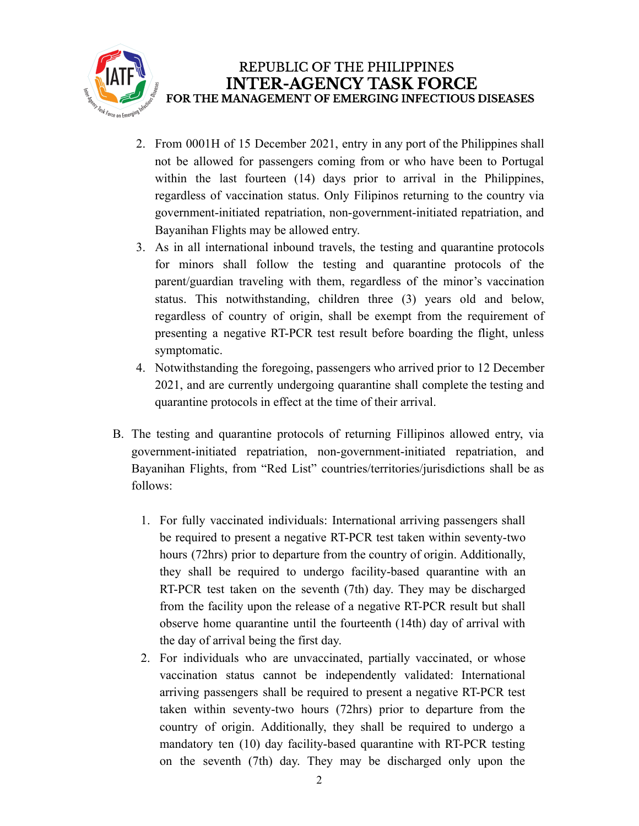

- 2. From 0001H of 15 December 2021, entry in any port of the Philippines shall not be allowed for passengers coming from or who have been to Portugal within the last fourteen (14) days prior to arrival in the Philippines, regardless of vaccination status. Only Filipinos returning to the country via government-initiated repatriation, non-government-initiated repatriation, and Bayanihan Flights may be allowed entry.
- 3. As in all international inbound travels, the testing and quarantine protocols for minors shall follow the testing and quarantine protocols of the parent/guardian traveling with them, regardless of the minor's vaccination status. This notwithstanding, children three (3) years old and below, regardless of country of origin, shall be exempt from the requirement of presenting a negative RT-PCR test result before boarding the flight, unless symptomatic.
- 4. Notwithstanding the foregoing, passengers who arrived prior to 12 December 2021, and are currently undergoing quarantine shall complete the testing and quarantine protocols in effect at the time of their arrival.
- B. The testing and quarantine protocols of returning Fillipinos allowed entry, via government-initiated repatriation, non-government-initiated repatriation, and Bayanihan Flights, from "Red List" countries/territories/jurisdictions shall be as follows:
	- 1. For fully vaccinated individuals: International arriving passengers shall be required to present a negative RT-PCR test taken within seventy-two hours (72hrs) prior to departure from the country of origin. Additionally, they shall be required to undergo facility-based quarantine with an RT-PCR test taken on the seventh (7th) day. They may be discharged from the facility upon the release of a negative RT-PCR result but shall observe home quarantine until the fourteenth (14th) day of arrival with the day of arrival being the first day.
	- 2. For individuals who are unvaccinated, partially vaccinated, or whose vaccination status cannot be independently validated: International arriving passengers shall be required to present a negative RT-PCR test taken within seventy-two hours (72hrs) prior to departure from the country of origin. Additionally, they shall be required to undergo a mandatory ten (10) day facility-based quarantine with RT-PCR testing on the seventh (7th) day. They may be discharged only upon the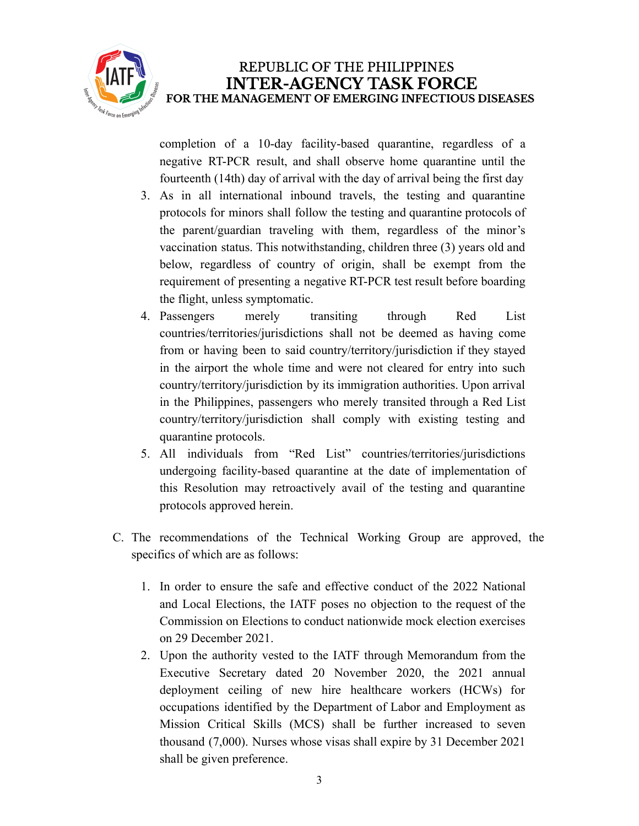

completion of a 10-day facility-based quarantine, regardless of a negative RT-PCR result, and shall observe home quarantine until the fourteenth (14th) day of arrival with the day of arrival being the first day

- 3. As in all international inbound travels, the testing and quarantine protocols for minors shall follow the testing and quarantine protocols of the parent/guardian traveling with them, regardless of the minor's vaccination status. This notwithstanding, children three (3) years old and below, regardless of country of origin, shall be exempt from the requirement of presenting a negative RT-PCR test result before boarding the flight, unless symptomatic.
- 4. Passengers merely transiting through Red List countries/territories/jurisdictions shall not be deemed as having come from or having been to said country/territory/jurisdiction if they stayed in the airport the whole time and were not cleared for entry into such country/territory/jurisdiction by its immigration authorities. Upon arrival in the Philippines, passengers who merely transited through a Red List country/territory/jurisdiction shall comply with existing testing and quarantine protocols.
- 5. All individuals from "Red List" countries/territories/jurisdictions undergoing facility-based quarantine at the date of implementation of this Resolution may retroactively avail of the testing and quarantine protocols approved herein.
- C. The recommendations of the Technical Working Group are approved, the specifics of which are as follows:
	- 1. In order to ensure the safe and effective conduct of the 2022 National and Local Elections, the IATF poses no objection to the request of the Commission on Elections to conduct nationwide mock election exercises on 29 December 2021.
	- 2. Upon the authority vested to the IATF through Memorandum from the Executive Secretary dated 20 November 2020, the 2021 annual deployment ceiling of new hire healthcare workers (HCWs) for occupations identified by the Department of Labor and Employment as Mission Critical Skills (MCS) shall be further increased to seven thousand (7,000). Nurses whose visas shall expire by 31 December 2021 shall be given preference.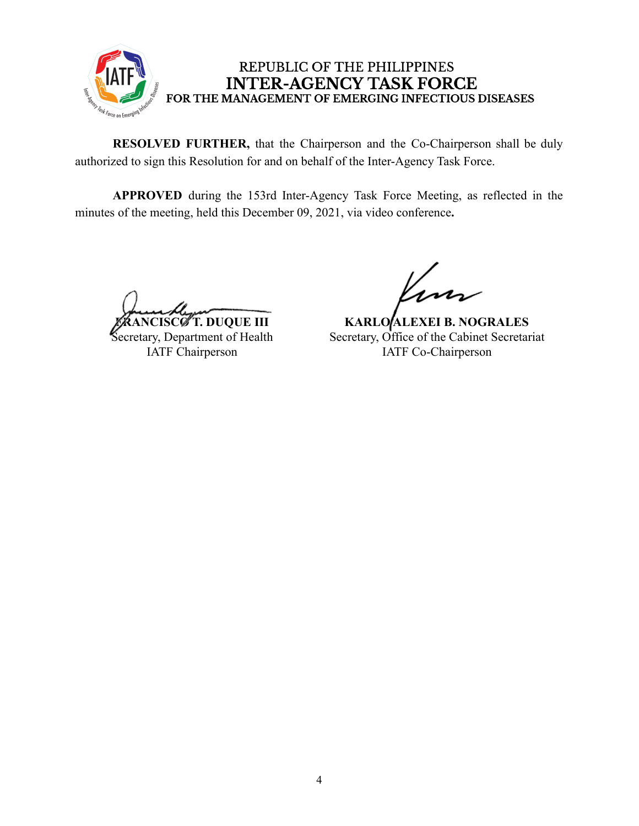

## REPUBLIC OF THE PHILIPPINES **INTER-AGENCY TASK FORCE** FOR THE MANAGEMENT OF EMERGING INFECTIOUS DISEASES

**RESOLVED FURTHER,** that the Chairperson and the Co-Chairperson shall be duly authorized to sign this Resolution for and on behalf of the Inter-Agency Task Force.

**APPROVED** during the 153rd Inter-Agency Task Force Meeting, as reflected in the minutes of the meeting, held this December 09, 2021, via video conference**.**

**ISCØT. DUQUE III** 

Secretary, Department of Health IATF Chairperson

**KARLO ALEXEI B. NOGRALES** Secretary, Office of the Cabinet Secretariat IATF Co-Chairperson